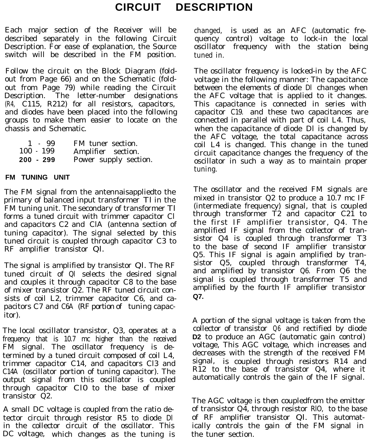# **CIRCUIT DESCRIPTION**

Each major section of the Receiver will be changed, is used as an AFC (automatic fredescribed separately in the following Circuit quency control) voltage to lock-in the local Description. For ease of explanation, the Source oscillator frequency with the station being switch will be described in the FM position. tuned in.

Follow the circuit on the Block Diagram (foldout from Page 66) and on the Schematic (foldout from Page 79) while reading the Circuit Description. The letter-number designations (R4, C115, R212) for all resistors, capacitors, and diodes have been placed into the following groups to make them easier to locate on the chassis and Schematic.

| 1 99        | FM tuner section.     |
|-------------|-----------------------|
| $100 - 199$ | Amplifier section.    |
| 200 - 299   | Power supply section. |

#### **FM TUNING UNIT**

The FM signal from the antennaisappliedto the primary of balanced input transformer Tl in the FM tuning unit. The secondary of transformer Tl forms a tuned circuit with trimmer capacitor Cl and capacitors C2 and ClA (antenna section of tuning capacitor). The signal selected by this tuned circuit is coupled through capacitor C3 to RF amplifier transistor Ql.

The signal is amplified by transistor Ql. The RF tuned circuit of Ql selects the desired signal and couples it through capacitor C8 to the base of mixer transistor Q2. The RF tuned circuit consists of coil L2, trimmer capacitor C6, and capacitors C7 and C6A (RF portion of tuning capacitor).

The local oscillator transistor, Q3, operates at a frequency that is 10.7 mc higher than the received FM signal. The oscillator frequency is determined by a tuned circuit composed of coil L4, trimmer capacitor C14, and capacitors Cl3 and C14A (oscillator portion of tuning capacitor). The output signal from this oscillator is coupled through capacitor Cl0 to the base of mixer transistor Q2.

A small DC voltage is coupled from the ratio detector circuit through resistor R5 to diode Dl in the collector circuit of the oscillator. This DC voltage, which changes as the tuning is

The oscillator frequency is locked-in by the AFC voltage in the following manner: The capacitance between the elements of diode Dl changes when the AFC voltage that is applied to it changes. This capacitance is connected in series with capacitor C19. and these two capacitances are connected in parallel with part of coil L4. Thus, when the capacitance of diode Dl is changed by the AFC voltage, the total capacitance across coil L4 is changed. This change in the tuned circuit capacitance changes the frequency of the oscillator in such a way as to maintain proper tuning.

The oscillator and the received FM signals are mixed in transistor Q2 to produce a 10.7 mc IF (intermediate frequency) signal, that is coupled through transformer T2 and capacitor C21 to the first IF amplifier transistor, Q4. The amplified IF signal from the collector of transistor Q4 is coupled through transformer T3 to the base of second IF amplifier transistor Q5. This IF signal is again amplified by transistor Q5, coupled through transformer T4, and amplified by transistor Q6. From Q6 the signal is coupled through transformer T5 and amplified by the fourth IF amplifier transistor **Q7.**

A portion of the signal voltage is taken from the collector of transistor Q6 and rectified by diode **D2** to produce an AGC (automatic gain control) voltage, This AGC voltage, which increases and decreases with the strength of the received FM signal, is coupled through resistors R14 and R12 to the base of transistor Q4, where it automatically controls the gain of the IF signal.

The AGC voltage is then coupledfrom the emitter of transistor Q4, through resistor RlO, to the base of RF amplifier transistor Ql. This automatically controls the gain of the FM signal in the tuner section.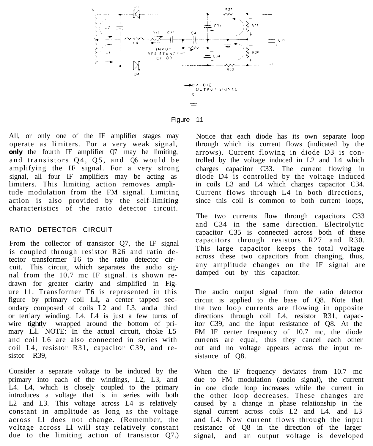

Figure 11

All, or only one of the IF amplifier stages may operate as limiters. For a very weak signal, **only** the fourth IF amplifier Q7 may be limiting, and transistors Q4, Q5, and Q6 would be amplifying the IF signal. For a very strong signal, all four IF amplifiers may be acting as limiters. This limiting action removes amplitude modulation from the FM signal. Limiting action is also provided by the self-limiting characteristics of the ratio detector circuit.

#### RATIO DETECTOR CIRCUIT

From the collector of transistor Q7, the IF signal is coupled through resistor R26 and ratio detector transformer T6 to the ratio detector circuit. This circuit, which separates the audio signal from the 10.7 mc IF signal. is shown redrawn for greater clarity and simplified in Figure 11. Transformer T6 is represented in this figure by primary coil Ll, a center tapped secondary composed of coils L2 and L3. and a third or tertiary winding. L4. L4 is just a few turns of wire tightly wrapped around the bottom of primary Ll. NOTE: In the actual circuit, choke L5 and coil L6 are also connected in series with coil L4, resistor R31, capacitor C39, and resistor R39,

Consider a separate voltage to be induced by the primary into each of the windings, L2, L3, and L4. L4, which is closely coupled to the primary introduces a voltage that is in series with both L<sub>2</sub> and L<sub>3</sub>. This voltage across L<sub>4</sub> is relatively constant in amplitude as long as the voltage across Ll does not change. (Remember, the voltage across Ll will stay relatively constant due to the limiting action of transistor Q7.)

Notice that each diode has its own separate loop through which its current flows (indicated by the arrows). Current flowing in diode D3 is controlled by the voltage induced in L2 and L4 which charges capacitor C33. The current flowing in diode D4 is controlled by the voltage induced in coils L3 and L4 which charges capacitor C34. Current flows through L4 in both directions, since this coil is common to both current loops,

The two currents flow through capacitors C33 and C34 in the same direction. Electrolytic capacitor C35 is connected across both of these capacitors through resistors R27 and R30. This large capacitor keeps the total voltage across these two capacitors from changing, thus, any amplitude changes on the IF signal are damped out by this capacitor.

The audio output signal from the ratio detector circuit is applied to the base of Q8. Note that the two loop currents are flowing in opposite directions through coil L4, resistor R31, capacitor C39, and the input resistance of Q8. At the FM IF center frequency of 10.7 mc, the diode currents are equal, thus they cancel each other out and no voltage appears across the input resistance of Q8.

When the IF frequency deviates from 10.7 mc due to FM modulation (audio signal), the current in one diode loop increases while the current in the other loop decreases. These changes are caused by a change in phase relationship in the signal current across coils L2 and L4. and L3 and L4. Now current flows through the input resistance of Q8 in the direction of the larger signal, and an output voltage is developed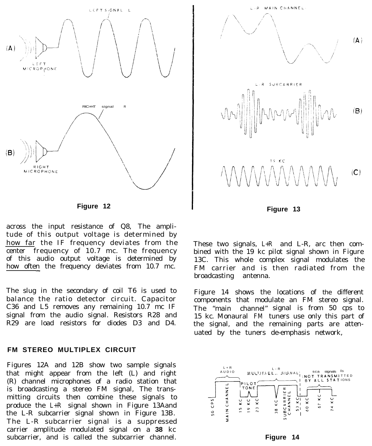

**Figure 12**

across the input resistance of Q8, The amplitude of this output voltage is determined by how far the IF frequency deviates from the center frequency of 10.7 mc. The frequency of this audio output voltage is determined by how often the frequency deviates from 10.7 mc.

The slug in the secondary of coil T6 is used to balance the ratio detector circuit. Capacitor C36 and L5 removes any remaining 10.7 mc IF signal from the audio signal. Resistors R28 and R29 are load resistors for diodes D3 and D4.

#### **FM STEREO MULTIPLEX CIRCUIT**

Figures 12A and 12B show two sample signals that might appear from the left (L) and right (R) channel microphones of a radio station that is broadcasting a stereo FM signal, The transmitting circuits then combine these signals to produce the L+R signal shown in Figure 13Aand the L-R subcarrier signal shown in Figure 13B. The L-R subcarrier signal is a suppressed carrier amplitude modulated signal on a **38** kc subcarrier, and is called the subcarrier channel.



**Figure 13**

These two signals, L+R and L-R, arc then combined with the 19 kc pilot signal shown in Figure 13C. This whole complex signal modulates the FM carrier and is then radiated from the broadcasting antenna.

Figure 14 shows the locations of the different components that modulate an FM stereo signal. The "main channel" signal is from 50 cps to 15 kc. Monaural FM tuners use only this part of the signal, and the remaining parts are attenuated by the tuners de-emphasis network,

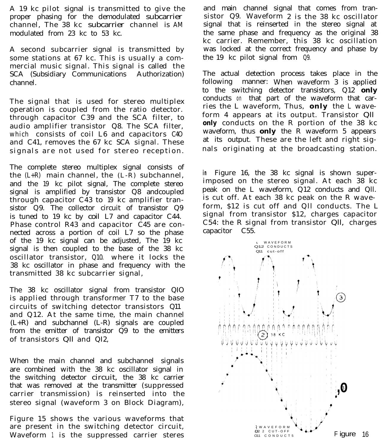A 19 kc pilot signal is transmitted to give the proper phasing for the demodulated subcarrier channel, The 38 kc subcarrier channel is AM modulated from 23 kc to 53 kc.

A second subcarrier signal is transmitted by some stations at 67 kc. This is usually a commercial music signal. This signal is called the SCA (Subsidiary Communications Authorization) channel.

The signal that is used for stereo multiplex operation is coupled from the ratio detector. through capacitor C39 and the SCA filter, to audio amplifier transistor Q8. The SCA filter, which consists of coil L6 and capacitors C4O and C41, removes the 67 kc SCA signal. These signals are not used for stereo reception.

The complete stereo multiplex signal consists of the  $(L+R)$  main channel, the  $(L-R)$  subchannel, and the 19 kc pilot signal, The complete stereo signal is amplified by transistor Q8 andcoupled through capacitor C43 to 19 kc amplifier transistor Q9. The collector circuit of transistor Q9 is tuned to 19 kc by coil L7 and capacitor C44. Phase control R43 and capacitor C45 are connected across a portion of coil L7 so the phase of the 19 kc signal can be adjusted, The 19 kc signal is then coupled to the base of the 38 kc oscillator transistor, Q10. where it locks the 38 kc oscillator in phase and frequency with the transmitted 38 kc subcarrier signal,

The 38 kc oscillator signal from transistor QIO is applied through transformer T7 to the base circuits of switching detector transistors Q11 and Q12. At the same time, the main channel (L+R) and subchannel (L-R) signals are coupled from the emitter of transistor Q9 to the emitters of transistors Qll and QI2,

When the main channel and subchannel signals are combined with the 38 kc oscillator signal in the switching detector circuit, the 38 kc carrier that was removed at the transmitter (suppressed carrier transmission) is reinserted into the stereo signal (waveform 3 on Block Diagram),

Figure 15 shows the various waveforms that are present in the switching detector circuit, Waveform 1 is the suppressed carrier steres

and main channel signal that comes from transistor Q9. Waveform 2 is the 38 kc oscillator signal that is reinserted in the stereo signal at the same phase and frequency as the original 38 kc carrier. Remember, this 38 kc oscillation was locked at the correct frequency and phase by the 19 kc pilot signal from Q9.

The actual detection process takes place in the following manner: When waveform 3 is applied to the switching detector transistors, Q12 **only** conducts on that part of the waveform that carries the L waveform, Thus, **only** the L waveform 4 appears at its output. Transistor Qll **only** conducts on the R portion of the 38 kc waveform, thus **only** the R waveform 5 appears at its output. These are the left and right signals originating at the broadcasting station.

in Figure 16, the 38 kc signal is shown superimposed on the stereo signal. At each 38 kc peak on the L waveform, Q12 conducts and Qll. is cut off. At each 38 kc peak on the R waveform, \$12 is cut off and Qll conducts. The L signal from transistor \$12, charges capacitor C54: the R signal from transistor Qll, charges capacitor C55.

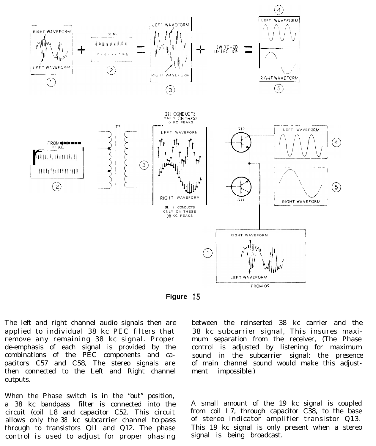



The left and right channel audio signals then are applied to individual 38 kc PEC filters that remove any remaining 38 kc signal. Proper de-emphasis of each signal is provided by the combinations of the PEC components and capacitors C57 and C58, The stereo signals are then connected to the Left and Right channel outputs.

When the Phase switch is in the "out" position, a 38 kc bandpass filter is connected into the circuit (coil L8 and capacitor C52. This circuit allows only the 38 kc subcarrier channel to pass through to transistors Qll and Q12. The phase control is used to adjust for proper phasing

between the reinserted 38 kc carrier and the 38 kc subcarrier signal, This insures maximum separation from the receiver, (The Phase control is adjusted by listening for maximum sound in the subcarrier signal: the presence of main channel sound would make this adjustment impossible.)

A small amount of the 19 kc signal is coupled from coil L7, through capacitor C38, to the base of stereo indicator amplifier transistor Q13. This 19 kc signal is only present when a stereo signal is being broadcast.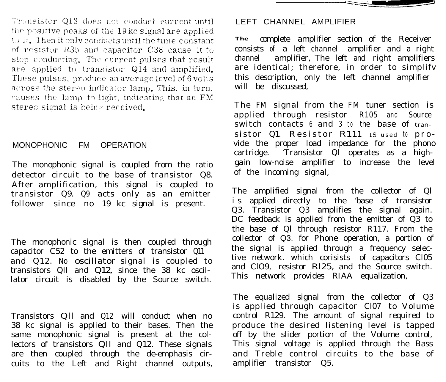Transistor Q13 does not conduct current until the positive peaks of the 19kc signal are applied to it. Then it enly conducts until the time constant of resistor R35 and capacitor C38 cause it to stop conducting. The current pulses that result are applied to transistor Q14 and amplified. These pulses, produce an average level of 6 volts across the stereo indicator lamp. This, in turn, causes the lamp to light, indicating that an FM stereo signal is being received.

#### MONOPHONIC FM OPERATION

The monophonic signal is coupled from the ratio detector circuit to the base of transistor Q8. After amplification, this signal is coupled to transistor Q9. Q9 acts only as an emitter follower since no 19 kc signal is present.

The monophonic signal is then coupled through capacitor C52 to the emitters of transistor Q11 and Q12. No oscillator signal is coupled to transistors Qll and Q12, since the 38 kc oscillator circuit is disabled by the Source switch.

Transistors Qll and Q12 will conduct when no 38 kc signal is applied to their bases. Then the same monophonic signal is present at the collectors of transistors Qll and Q12. These signals are then coupled through the de-emphasis circuits to the Left and Right channel outputs,

#### LEFT CHANNEL AMPLIFIER

**The** complete amplifier section of the Receiver consists of a left channel amplifier and a right channel amplifier, The left and right amplifiers are identical; therefore, in order to simplifv this description, only the left channel amplifier will be discussed,

The FM signal from the FM tuner section is applied through resistor R105 and Source switch contacts  $6$  and  $3$  to the base of transistor Q1. Resistor R111 1S used to provide the proper load impedance for the phono cartridge. 'Transistor Ql operates as a highgain low-noise amplifier to increase the level of the incoming signal,

The amplified signal from the collector of Ql is applied directly to the 'base of transistor Q3. Transistor Q3 amplifies the signal again. DC feedback is applied from the emitter of  $Q3$  to the base of Ql through resistor R117. From the collector of Q3, for Phone operation, a portion of the signal is applied through a frequency selective network. which corisists of capacitors Cl05 and ClO9, resistor Rl25, and the Source switch. This network provides RIAA equalization,

The equalized signal from the collector of Q3 is applied through capacitor Cl07 to Volume control R129. The amount of signal required to produce the desired listening level is tapped off by the slider portion of the Volume control, This signal voltage is applied through the Bass and Treble control circuits to the base of amplifier transistor Q5.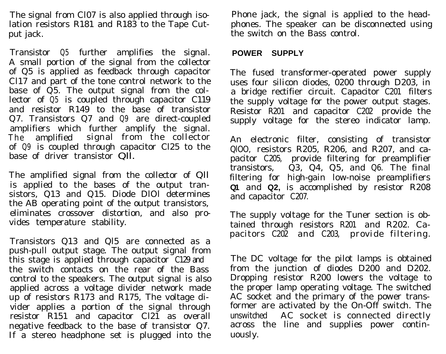The signal from Cl07 is also applied through isolation resistors R181 and R183 to the Tape Cutput jack.

Transistor Q5 further amplifies the signal. A small portion of the signal from the collector of Q5 is applied as feedback through capacitor Cl17 and part of the tone control network to the base of Q5. The output signal from the collector of Q5 is coupled through capacitor C119 and resistor R149 to the base of transistor Q7. Transistors Q7 and Q9 are direct-coupled amplifiers which further amplify the signal. The amplified signal from the collector of Q9 is coupled through capacitor Cl25 to the base of driver transistor Qll.

The amplified signal from the collector of Qll is applied to the bases of the output transistors, Q13 and Q15. Diode DlOl determines the AB operating point of the output transistors, eliminates crossover distortion, and also provides temperature stability.

Transistors Q13 and Ql5 are connected as a push-pull output stage. The output signal from this stage is applied through capacitor C129 and the switch contacts on the rear of the Bass control to the speakers. The output signal is also applied across a voltage divider network made up of resistors R173 and R175, The voltage divider applies a portion of the signal through resistor R151 and capacitor Cl21 as overall negative feedback to the base of transistor Q7. If a stereo headphone set is plugged into the

Phone jack, the signal is applied to the headphones. The speaker can be disconnected using the switch on the Bass control.

#### **POWER SUPPLY**

The fused transformer-operated power supply uses four silicon diodes, 0200 through D203, in a bridge rectifier circuit. Capacitor C201 filters the supply voltage for the power output stages. Resistor R201 and capacitor C202 provide the supply voltage for the stereo indicator lamp.

An electronic filter, consisting of transistor QlOO, resistors R205, R206, and R207, and capacitor C205, provide filtering for preamplifier transistors, Q3, Q4, Q5, and Q6. The final filtering for high-gain low-noise preamplifiers **Q1** and **Q2,** is accomplished by resistor R208 and capacitor C207.

The supply voltage for the Tuner section is obtained through resistors R201 and R202. Capacitors C202 and C203, provide filtering.

The DC voltage for the pilot lamps is obtained from the junction of diodes D200 and D202. Dropping resistor R200 lowers the voltage to the proper lamp operating voltage. The switched AC socket and the primary of the power transformer are activated by the On-Off switch. The unswitched AC socket is connected directly across the line and supplies power continuously.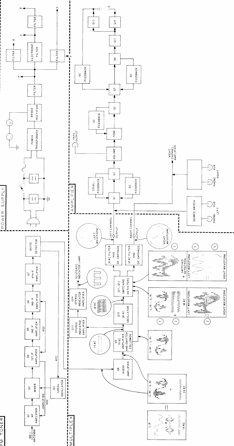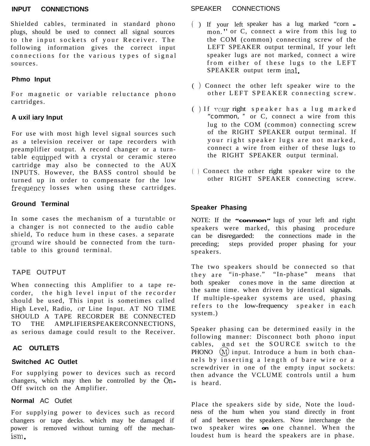Shielded cables, terminated in standard phono plugs, should be used to connect all signal sources to the input sockets of your Receiver. The following information gives the correct input connections for the various types of signal sources.

#### **Phmo Input**

For magnetic or variable reluctance phono cartridges.

#### **A uxil iary Input**

For use with most high level signal sources such as a television receiver or tape recorders with preamplifier output. A record changer or a turntable equipped with a crystal or ceramic stereo cartridge may also be connected to the AUX INPUTS. However, the BASS control should be turned up in order to compensate for the low frequency losses when using these cartridges.

#### **Ground Terminal**

In some cases the mechanism of a turntable or a changer is not connected to the audio cable shield, To reduce hum in these cases. a separate ground wire should be connected from the turntable to this ground terminal.

#### TAPE OUTPUT

When connecting this Amplifier to a tape recorder, the high level input of the recorder should be used, This input is sometimes called High Level, Radio, or Line Input. AT NO TIME SHOULD A TAPE RECORDER BE CONNECTED TO THE AMPLIFIERSPEAKERCONNECTIONS, as serious damage could result to the Receiver.

#### **AC OUTLETS**

#### **Switched AC Outlet**

For supplying power to devices such as record changers, which may then be controlled by the On-Off switch on the Amplifier.

#### **Normal** AC Outlet

For supplying power to devices such as record changers or tape decks. which may be damaged if power is removed without turning off the mechanism.

#### **INPUT CONNECTIONS** SPEAKER CONNECTIONS

- $($  ) If your left speaker has a lug marked "corn  $\blacksquare$ mon. " or C, connect a wire from this lug to the COM (common) connecting screw of the LEFT SPEAKER output terminal, If your left speaker lugs are not marked, connect a wire from either of these lugs to the LEFT SPEAKER output term inal.
- ( ) Connect the other left speaker wire to the other LEFT SPEAKER connecting screw.
- ( ) If your right speaker has a lug marked "common, " or C, connect a wire from this lug to the COM (common) connecting screw of the RIGHT SPEAKER output terminal. If your right speaker lugs are not marked, connect a wire from either of these lugs to the RIGHT SPEAKER output terminal.
- ( ) Connect the other right speaker wire to the other RIGHT SPEAKER connecting screw.

#### **Speaker Phasing**

NOTE: If the **"conmon"** lugs of your left and right speakers were marked, this phasing procedure can be disregarded: the connections made in the preceding; steps provided proper phasing for your speakers.

The two speakers should be connected so that they are "in-phase." "In-phase" means that both speaker cones move in the same direction at the same time. when driven by identical signals. If multiple-speaker systems are used, phasing refers to the low-frequency speaker in each system.)

Speaker phasing can be determined easily in the following manner: Disconnect both phono input cables, and set the SOURCE switch to the PHONO  $(M)$  input. Introduce a hum in both channels by inserting a length of bare wire or a screwdriver in one of the empty input sockets: then advance the VCLUME controls until a hum is heard.

Place the speakers side by side, Note the loudness of the hum when you stand directly in front of and between the speakers. Now interchange the two speaker wires **on** one channel. When the loudest hum is heard the speakers are in phase.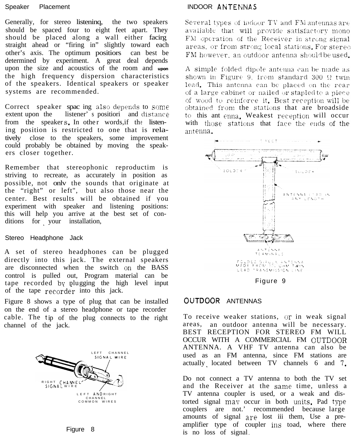Generally, for stereo listeninq, the two speakers should be spaced four to eight feet apart. They should be placed along a wall either facirg straight ahead or "firing in" slightly toward each other's axis. The optimum positiors can best be determined by experiment. A great deal depends upon the size and acoustics of the room and **upon** the high frequency dispersion characteristics of the speakers. Identical speakers or speaker systems are recommended.

Correct speaker spacing also depends to some extent upon the listener<sup>'</sup> s positiori and distance from the speaker s, In othe r words,if the listening position is restricted to one that is relatively close to the speakers, some improvement could probably be obtained by moving the speakers closer together.

Remember that stereophonic reproductim is striving to recreate, as accurately in position as possible, not onlv the sounds that originate at the "right" or left", but also those near the center. Best results will be obtained if you experiment with speaker and listening positions: this will help you arrive at the best set of conditions for your installation,

#### Stereo Headphone Jack

A set of stereo headphones can be plugged directly into this jack. The external speakers are disconnected when the switch on the BASS control is pulled out, Program material can be tape recorded bv plugging the high level input of the tape recorder into this jack.

Figure 8 shows a type of plug that can be installed on the end of a stereo headphone or tape recorder cable. The tip of the plug connects to the right channel of the jack.



Figure 8

#### Speaker Placement **INDOOR ANTENNAS**

Several types of indoor TV and FM antennas are available that will provide satisfactory mono FM operation of the Receiver in strong signal areas, or from strong local stations. For stereo FM however, an outdoor antenna should be used.

A simple folded dipole antenna can be made as shown in Figure 9, from standard 300  $\Omega$  twin lead. This antenna can be placed on the rear of a large cabinet or nailed or stapled to a piece of wood to reinforce it. Best reception will be obtained from the stations that are broadside to this ant enna. Weakest reception will occur with those stations that face the ends of the ant ema.



Figure 9

#### OUTDOOR ANTENNAS

To receive weaker stations, or in weak signal areas, an outdoor antenna will be necessary. BEST RECEPTION FOR STEREO FM WILL OCCUR WITH A COMMERCIAL FM CUTDOOR ANTENNA. A VHF TV antenna can also be used as an FM antenna, since FM stations are actually located between  $TV$  channels 6 and  $7$ .

Do not connect a TV antenna to both the TV set and the Receiver at the same time, unless a TV antenna coupler is used, or a weak and distorted signal may occur in both units. Pad type couplers are not.' recommended because large amounts of signal are lost iii them, Use a preamplifier type of coupler ins toad, where there is no loss of signal.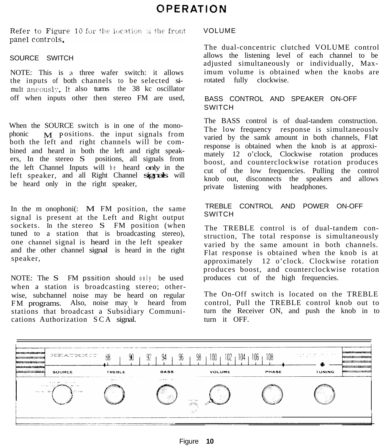Refer to Figure 10 for the location of the front panel controls.

#### SOURCE SWITCH

NOTE: This is a three wafer switch: it allows the inputs of both channels to be selected simu1t aneously. It also turns the 38 kc oscillator off when inputs other then stereo FM are used,

When the SOURCE switch is in one of the monophonic  $M$  positions. the input signals from both the left and right channels will be combined and heard in both the left and right speakers, In the stereo S positions, all signals from the left Channel Inputs will be heard only in the left speaker, and all Right Channel signals will be heard only in the right speaker,

In the m onophoni(: M FM position, the same signal is present at the Left and Right output sockets. In the stereo S FM position (when tuned to a station that is broadcasting stereo), one channel signal is heard in the left speaker and the other channel signal is heard in the right speaker,

NOTE: The S FM pssition should only be used when a station is broadcasting stereo; otherwise, subchannel noise may be heard on regular FM programs. Also, noise may be heard from stations that broadcast a Subsidiary Communications Authorization SCA signal.

### VOLUME

The dual-concentric clutched VOLUME control allows the listening level of each channel to be adjusted simultaneously or individually, Maximum volume is obtained when the knobs are rotated fully clockwise.

### BASS CONTROL AND SPEAKER ON-OFF SWITCH

The BASS control is of dual-tandem construction. The low frequency response is simultaneouslv varied by the samk amount in both channels, Flat response is obtained when the knob is at approximately 12 o'clock, Clockwise rotation produces boost, and counterclockwise rotation produces cut of the low frequencies. Pulling the control knob out, disconnects the speakers and allows private listening with headphones.

### TREBLE CONTROL AND POWER ON-OFF **SWITCH**

The TREBLE control is of dual-tandem construction, The total response is simultaneously varied by the same amount in both channels. Flat response is obtained when the knob is at approximately 12 o'clock. Clockwise rotation produces boost, and counterclockwise rotation produces cut of the high frequencies.

The On-Off switch is located on the TREBLE control, Pull the TREBLE control knob out to turn the Receiver ON, and push the knob in to turn it OFF.

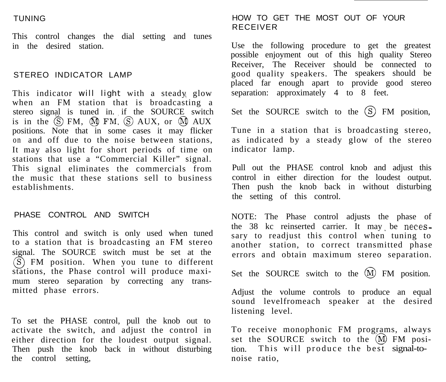This control changes the dial setting and tunes in the desired station.

#### STEREO INDICATOR LAMP

This indicator will light with a steady glow when an FM station that is broadcasting a stereo signal is tuned in. if the SOURCE switch is in the  $\overline{S}$  FM,  $\overline{M}$  FM,  $\overline{S}$  AUX, or  $\overline{M}$  AUX positions. Note that in some cases it may flicker on and off due to the noise between stations, It may also light for short periods of time on stations that use a "Commercial Killer" signal. This signal eliminates the commercials from the music that these stations sell to business establishments.

#### PHASE CONTROL AND SWITCH

This control and switch is only used when tuned to a station that is broadcasting an FM stereo signal. The SOURCE switch must be set at the  $(S)$  FM position. When you tune to different stations, the Phase control will produce maximum stereo separation by correcting any transmitted phase errors.

To set the PHASE control, pull the knob out to activate the switch, and adjust the control in either direction for the loudest output signal. Then push the knob back in without disturbing the control setting,

### TUNING HOW TO GET THE MOST OUT OF YOUR RECEIVER

Use the following procedure to get the greatest possible enjoyment out of this high quality Stereo Receiver, The Receiver should be connected to good quality speakers. The speakers should be placed far enough apart to provide good stereo separation: approximately 4 to 8 feet.

Set the SOURCE switch to the  $(S)$  FM position,

Tune in a station that is broadcasting stereo, as indicated by a steady glow of the stereo indicator lamp.

Pull out the PHASE control knob and adjust this control in either direction for the loudest output. Then push the knob back in without disturbing the setting of this control.

NOTE: The Phase control adjusts the phase of the  $38$  kc reinserted carrier. It may be necessary to readjust this control when tuning to another station, to correct transmitted phase errors and obtain maximum stereo separation.

Set the SOURCE switch to the  $(M)$  FM position.

Adjust the volume controls to produce an equal sound levelfromeach speaker at the desired listening level.

To receive monophonic FM programs, always set the SOURCE switch to the  $(M)$  FM position. This will produce the best signal-tonoise ratio,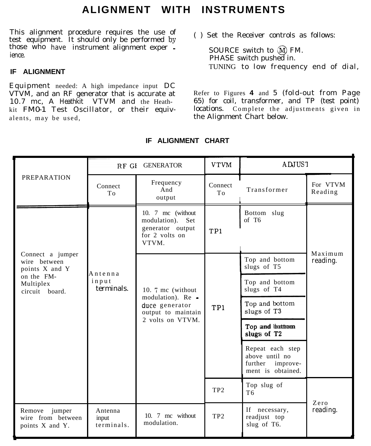# **ALIGNMENT WITH INSTRUMENTS**

This alignment procedure requires the use of the anglument procedure requires the use of ( ) Set the Receiver controls as follows:<br>test equipment. It should only be performed by those who have instrument alignment exper - SOURCE switch to  $\overline{M}$  FM. ience.

### **IF ALIGNMENT**

Equipment needed: A high impedance input DC VTVM, and an RF generator that is accurate at 10.7 mc, A Heathkit VTVM and the Heathkit FM0-1 Test Oscillator, or their equivalents, may be used,

PHASE switch pushed in. TUNING to low frequency end of dial,

Refer to Figures **4** and 5 (fold-out from Page 65) for coil, transformer, and TP (test point) locations. Complete the adjustments given in the Alignment Chart below.

|                                                                                                 | RF GI GENERATOR                |                                                                                                     | <b>VTVM</b>     | ADJUS <sub>1</sub>                                                          |                     |  |
|-------------------------------------------------------------------------------------------------|--------------------------------|-----------------------------------------------------------------------------------------------------|-----------------|-----------------------------------------------------------------------------|---------------------|--|
| <b>PREPARATION</b>                                                                              | Connect<br>To                  | Frequency<br>And<br>output                                                                          | Connect<br>To   | Transformer                                                                 | For VTVM<br>Reading |  |
|                                                                                                 | Antenna<br>input<br>terminals. | 10. 7 mc (without<br>Set<br>modulation).<br>generator output<br>for 2 volts on<br>VTVM.             | TP1             | Bottom slug<br>of T6                                                        |                     |  |
| Connect a jumper<br>wire between<br>points X and Y<br>on the FM-<br>Multiplex<br>circuit board. |                                | 10. 7 mc (without)<br>modulation). Re -<br>duce generator<br>output to maintain<br>2 volts on VTVM. | TP1             | Top and bottom<br>slugs of T5                                               | Maximum<br>reading. |  |
|                                                                                                 |                                |                                                                                                     |                 | Top and bottom<br>slugs of T4                                               |                     |  |
|                                                                                                 |                                |                                                                                                     |                 | Top and bottom<br>slugs of T3                                               |                     |  |
|                                                                                                 |                                |                                                                                                     |                 | Top and bottom<br>slugs of T2                                               |                     |  |
|                                                                                                 |                                |                                                                                                     |                 | Repeat each step<br>above until no<br>further improve-<br>ment is obtained. |                     |  |
|                                                                                                 |                                |                                                                                                     | TP <sub>2</sub> | Top slug of<br>T <sub>6</sub>                                               |                     |  |
| Remove<br>jumper<br>wire from between<br>points X and Y.                                        | Antenna<br>input<br>terminals. | 10. 7 mc without<br>modulation.                                                                     | TP <sub>2</sub> | If necessary,<br>readjust top<br>slug of T6.                                | Zero<br>reading.    |  |

### **IF ALIGNMENT CHART**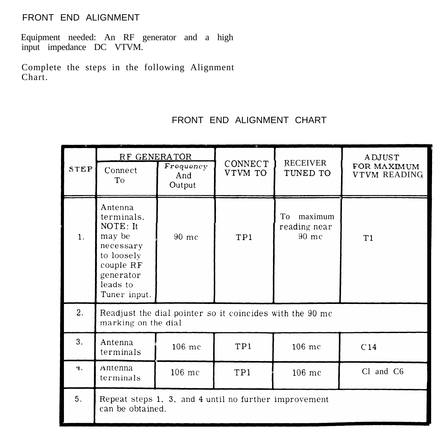## FRONT END ALIGNMENT

Equipment needed: An RF generator and a high input impedance DC VTVM.

Complete the steps in the following Alignment Chart.

# FRONT END ALIGNMENT CHART

|                | RF GENERATOR                                                                                                                 |                            |                           |                                          | ADJUST<br>FOR MAXIMUM<br>VTVM READING |  |
|----------------|------------------------------------------------------------------------------------------------------------------------------|----------------------------|---------------------------|------------------------------------------|---------------------------------------|--|
| <b>STEP</b>    | Connect<br>To                                                                                                                | Frequency<br>And<br>Output | <b>CONNECT</b><br>VTVM TO | <b>RECEIVER</b><br>TUNED TO              |                                       |  |
| $\mathbf{1}$ . | Antenna<br>terminals.<br>NOTE: It<br>may be<br>necessary<br>to loosely<br>couple RF<br>generator<br>leads to<br>Tuner input. | 90 mc                      | TP1                       | maximum<br>To<br>reading near<br>$90$ mc | T1                                    |  |
| 2.             | Readjust the dial pointer so it coincides with the 90 mc<br>marking on the dial.                                             |                            |                           |                                          |                                       |  |
| 3.             | Antenna<br>terminals                                                                                                         | 106 mc                     | TP1                       | 106 mc                                   | C14                                   |  |
| $\ddot{}$      | Antenna<br>terminals                                                                                                         | 106 mc                     | TP1                       | 106 mc                                   | Cl and C6                             |  |
| 5.             | Repeat steps 1, 3, and 4 until no further improvement<br>can be obtained.                                                    |                            |                           |                                          |                                       |  |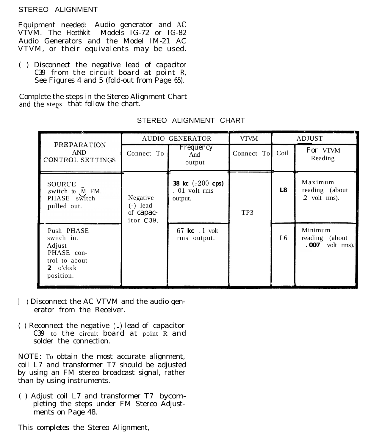#### STEREO ALIGNMENT

Equipment needed: Audio generator and AC VTVM. The Heathkit Models IG-72 or IG-82 Audio Generators and the Model IM-21 AC VTVM, or their equivalents may be used.

( ) Disconnect the negative lead of capacitor C39 from the circuit board at point R, See Figures 4 and 5 (fold-out from Page 65),

Complete the steps in the Stereo Alignment Chart and the steps that follow the chart.

|                                                                                             | <b>AUDIO GENERATOR</b>                           |                                                                  | <b>VTVM</b> | <b>ADJUST</b> |                                                             |
|---------------------------------------------------------------------------------------------|--------------------------------------------------|------------------------------------------------------------------|-------------|---------------|-------------------------------------------------------------|
| <b>PREPARATION</b><br><b>AND</b><br>CONTROL SETTINGS                                        | Connect To                                       | Frequency<br>And<br>output                                       | Connect To  | Coil          | For VTVM<br>Reading                                         |
| SOURCE<br>switch to $\widehat{M}$ FM.<br>PHASE switch<br>pulled out.                        | Negative<br>$(-)$ lead<br>of capac-<br>itor C39. | <b>38 kc</b> $(\pm 200 \text{ cps})$<br>. 01 volt rms<br>output. | TP3         | L8            | Maximum<br>reading (about<br>$.2$ volt rms).                |
| Push PHASE<br>switch in.<br>Adjust<br>PHASE con-<br>trol to about<br>2 o'clock<br>position. |                                                  | $67$ kc $.1$ volt<br>rms output.                                 |             | L6            | Minimum<br>reading (about<br>$\therefore$ 007<br>volt rms). |

STEREO ALIGNMENT CHART

- ( ) Disconnect the AC VTVM and the audio generator from the Receiver.
- ( ) Reconnect the negative  $(-)$  lead of capacitor C39 to the circuit board at point R and solder the connection.

NOTE: To obtain the most accurate alignment, coil L7 and transformer T7 should be adjusted by using an FM stereo broadcast signal, rather than by using instruments.

( ) Adjust coil L7 and transformer T7 bycompleting the steps under FM Stereo Adjustments on Page 48.

This completes the Stereo Alignment,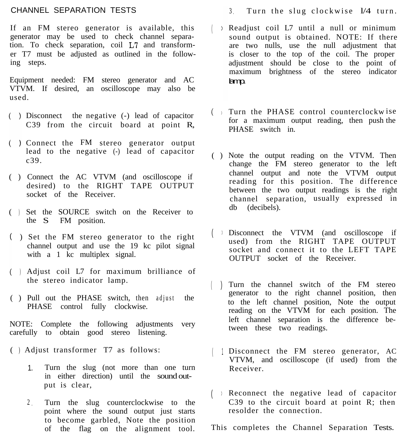#### CHANNEL SEPARATION TESTS

If an FM stereo generator is available, this generator may be used to check channel separation. To check separation, coil L7 and transformer T7 must be adjusted as outlined in the following steps.

Equipment needed: FM stereo generator and AC VTVM. If desired, an oscilloscope may also be used.

- Disconnect the negative (-) lead of capacitor C39 from the circuit board at point R,
- Connect the FM stereo generator output lead to the negative (-) lead of capacitor c39.
- ( ) Connect the AC VTVM (and oscilloscope if desired) to the RIGHT TAPE OUTPUT socket of the Receiver.
- ( ) Set the SOURCE switch on the Receiver to the S FM position.
- ) Set the FM stereo generator to the right channel output and use the 19 kc pilot signal with a 1 kc multiplex signal.
- ) Adjust coil L7 for maximum brilliance of the stereo indicator lamp.
- ( ) Pull out the PHASE switch, then adjust the PHASE control fully clockwise.

NOTE: Complete the following adjustments very carefully to obtain good stereo listening.

- ( ) Adjust transformer T7 as follows:
	- 1. Turn the slug (not more than one turn in either direction) until the sound output is clear,
	- <sup>2</sup> . Turn the slug counterclockwise to the point where the sound output just starts to become garbled, Note the position of the flag on the alignment tool.
- <sup>3</sup> . Turn the slug clockwise l/4 turn.
- ( > Readjust coil L7 until a null or minimum sound output is obtained. NOTE: If there are two nulls, use the null adjustment that is closer to the top of the coil. The proper adjustment should be close to the point of maximum brightness of the stereo indicator lamp.
- > Turn the PHASE control counterclockw ise for a maximum output reading, then push the PHASE switch in.
- ( ) Note the output reading on the VTVM. Then change the FM stereo generator to the left channel output and note the VTVM output reading for this position. The difference between the two output readings is the right channel separation, usually expressed in db (decibels).
- ( <sup>&</sup>gt; Disconnect the VTVM (and oscilloscope if used) from the RIGHT TAPE OUTPUT socket and connect it to the LEFT TAPE OUTPUT socket of the Receiver.
- $\begin{pmatrix} 1 & 1 \end{pmatrix}$ Turn the channel switch of the FM stereo generator to the right channel position, then to the left channel position, Note the output reading on the VTVM for each position. The left channel separation is the difference between these two readings.
- | | Disconnect the FM stereo generator, AC VTVM, and oscilloscope (if used) from the Receiver.
- ( <sup>&</sup>gt; Reconnect the negative lead of capacitor C39 to the circuit board at point R; then resolder the connection.

This completes the Channel Separation Tests.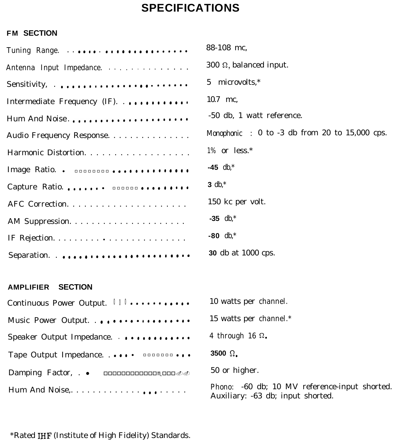# **SPECIFICATIONS**

# **FM SECTION**

|                                                | 88-108 mc,                                                                         |
|------------------------------------------------|------------------------------------------------------------------------------------|
| Antenna Input Impedance.                       | 300 $\Omega$ , balanced input.                                                     |
|                                                | 5 microvolts,*                                                                     |
| Intermediate Frequency (IF). $\cdots$          | 10.7 mc,                                                                           |
| Hum And Noise                                  | -50 db, 1 watt reference.                                                          |
| Audio Frequency Response.                      | Monophonic : $0$ to $-3$ db from 20 to $15,000$ cps.                               |
| Harmonic Distortion.                           | $1\%$ or less.*                                                                    |
| Image Ratio. . <b>DODDDDD0</b>                 | $-45$ db,*                                                                         |
| Capture Ratio. <b>DODDDD</b>                   | 3 db, $*$                                                                          |
|                                                | 150 kc per volt.                                                                   |
|                                                | $-35$ db,*                                                                         |
|                                                | $-80$ db,*                                                                         |
| Separation                                     | <b>30</b> db at 1000 cps.                                                          |
| <b>SECTION</b><br><b>AMPLIFIER</b>             |                                                                                    |
| Continuous Power Output. Ill                   | 10 watts per channel.                                                              |
| Music Power Output.                            | 15 watts per channel.*                                                             |
| Speaker Output Impedance.                      | 4 through 16 $\Omega$ .                                                            |
|                                                | 3500 $\Omega$ .                                                                    |
| Damping Factor, . • <b>nonononononon</b> nones | 50 or higher.                                                                      |
|                                                | Phono: -60 db; 10 MV reference-input shorted.<br>Auxiliary: -63 db; input shorted. |

\*Rated IHF (Institute of High Fidelity) Standards.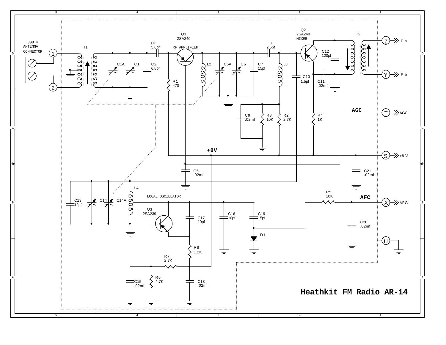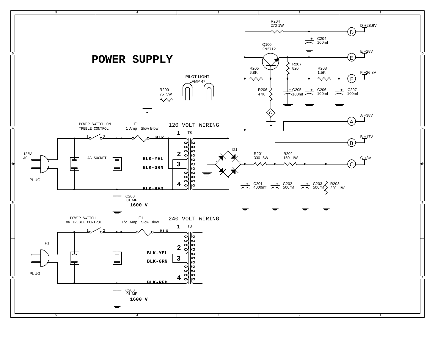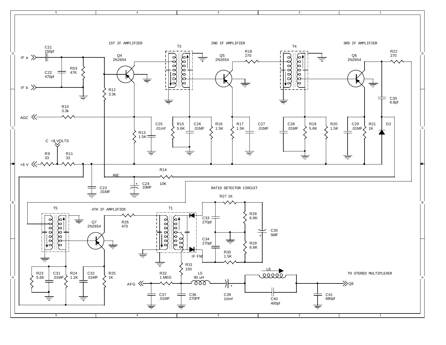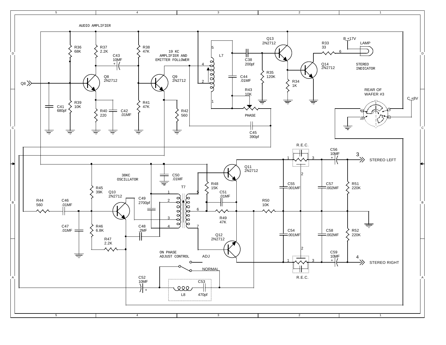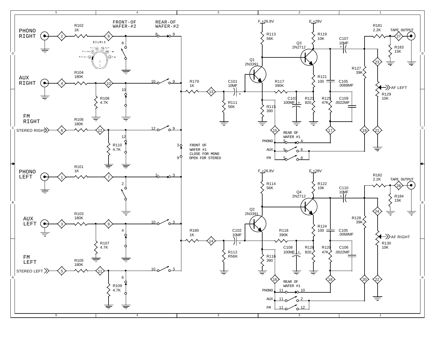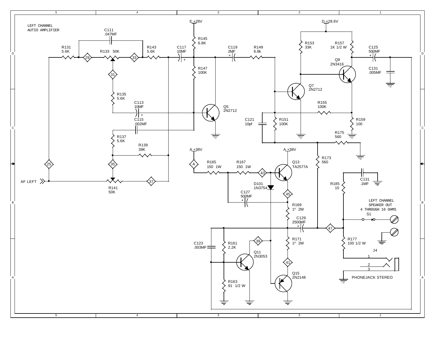